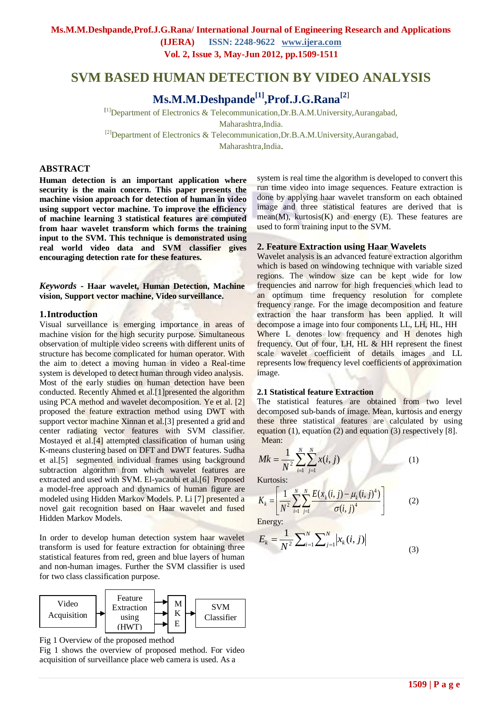## **SVM BASED HUMAN DETECTION BY VIDEO ANALYSIS**

# **Ms.M.M.Deshpande[1],Prof.J.G.Rana[2**]

[1]Department of Electronics & Telecommunication,Dr.B.A.M.University,Aurangabad, Maharashtra,India. <sup>[2]</sup>Department of Electronics & Telecommunication,Dr.B.A.M.University,Aurangabad,

Maharashtra,India.

#### **ABSTRACT**

**Human detection is an important application where security is the main concern. This paper presents the machine vision approach for detection of human in video using support vector machine. To improve the efficiency of machine learning 3 statistical features are computed from haar wavelet transform which forms the training input to the SVM. This technique is demonstrated using real world video data and SVM classifier gives encouraging detection rate for these features.**

*Keywords* **- Haar wavelet, Human Detection, Machine vision, Support vector machine, Video surveillance.**

#### **1.Introduction**

Visual surveillance is emerging importance in areas of machine vision for the high security purpose. Simultaneous observation of multiple video screens with different units of structure has become complicated for human operator. With the aim to detect a moving human in video a Real-time system is developed to detect human through video analysis. Most of the early studies on human detection have been conducted. Recently Ahmed et al.[1]presented the algorithm using PCA method and wavelet decomposition. Ye et al. [2] proposed the feature extraction method using DWT with support vector machine Xinnan et al.[3] presented a grid and center radiating vector features with SVM classifier. Mostayed et al.[4] attempted classification of human using K-means clustering based on DFT and DWT features. Sudha et al.[5] segmented individual frames using background subtraction algorithm from which wavelet features are extracted and used with SVM. El-yacaubi et al.[6] Proposed a model-free approach and dynamics of human figure are modeled using Hidden Markov Models. P. Li [7] presented a novel gait recognition based on Haar wavelet and fused Hidden Markov Models.

In order to develop human detection system haar wavelet transform is used for feature extraction for obtaining three statistical features from red, green and blue layers of human and non-human images. Further the SVM classifier is used for two class classification purpose.



Fig 1 Overview of the proposed method

Fig 1 shows the overview of proposed method. For video acquisition of surveillance place web camera is used. As a

system is real time the algorithm is developed to convert this run time video into image sequences. Feature extraction is done by applying haar wavelet transform on each obtained image and three statistical features are derived that is mean $(M)$ , kurtosis $(K)$  and energy  $(E)$ . These features are used to form training input to the SVM.

#### **2. Feature Extraction using Haar Wavelets**

Wavelet analysis is an advanced feature extraction algorithm which is based on windowing technique with variable sized regions. The window size can be kept wide for low frequencies and narrow for high frequencies which lead to an optimum time frequency resolution for complete frequency range. For the image decomposition and feature extraction the haar transform has been applied. It will decompose a image into four components LL, LH, HL, HH Where L denotes low frequency and H denotes high frequency. Out of four, LH, HL & HH represent the finest scale wavelet coefficient of details images and LL represents low frequency level coefficients of approximation image.

#### **2.1 Statistical feature Extraction**

The statistical features are obtained from two level decomposed sub-bands of image. Mean, kurtosis and energy these three statistical features are calculated by using equation  $(1)$ , equation  $(2)$  and equation  $(3)$  respectively  $[8]$ .

Mean:

$$
Mk = \frac{1}{N^2} \sum_{i=1}^{N} \sum_{j=1}^{N} x(i, j)
$$
 (1)  
Kurtosis:

Kurtosis:

$$
K_{k} = \left[ \frac{1}{N^{2}} \sum_{i=1}^{N} \sum_{j=1}^{N} \frac{E(x_{k}(i, j) - \mu_{k}(i, j)^{4})}{\sigma(i, j)^{4}} \right]
$$
(2)

Energy:

$$
E_k = \frac{1}{N^2} \sum_{i=1}^{N} \sum_{j=1}^{N} |x_k(i, j)|
$$
(3)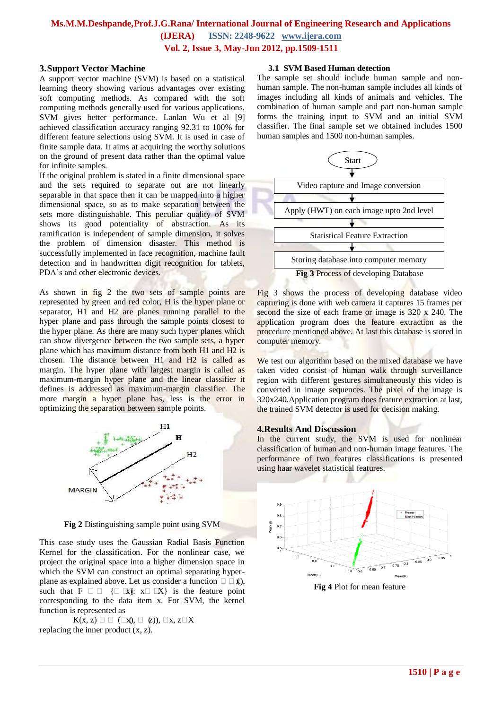## **Ms.M.M.Deshpande,Prof.J.G.Rana/ International Journal of Engineering Research and Applications**

**(IJERA) ISSN: 2248-9622 www.ijera.com**

**Vol. 2, Issue 3, May-Jun 2012, pp.1509-1511**

#### **3.Support Vector Machine**

A support vector machine (SVM) is based on a statistical learning theory showing various advantages over existing soft computing methods. As compared with the soft computing methods generally used for various applications, SVM gives better performance. Lanlan Wu et al [9] achieved classification accuracy ranging 92.31 to 100% for different feature selections using SVM. It is used in case of finite sample data. It aims at acquiring the worthy solutions on the ground of present data rather than the optimal value for infinite samples.

If the original problem is stated in a finite dimensional space and the sets required to separate out are not linearly separable in that space then it can be mapped into a higher dimensional space, so as to make separation between the sets more distinguishable. This peculiar quality of SVM shows its good potentiality of abstraction. As its ramification is independent of sample dimension, it solves the problem of dimension disaster. This method is successfully implemented in face recognition, machine fault detection and in handwritten digit recognition for tablets, PDA's and other electronic devices.

As shown in fig 2 the two sets of sample points are represented by green and red color, H is the hyper plane or separator, H1 and H2 are planes running parallel to the hyper plane and pass through the sample points closest to the hyper plane. As there are many such hyper planes which can show divergence between the two sample sets, a hyper plane which has maximum distance from both H1 and H2 is chosen. The distance between H1 and H2 is called as margin. The hyper plane with largest margin is called as maximum-margin hyper plane and the linear classifier it defines is addressed as maximum-margin classifier. The more margin a hyper plane has, less is the error in optimizing the separation between sample points.



**Fig 2** Distinguishing sample point using SVM

This case study uses the Gaussian Radial Basis Function Kernel for the classification. For the nonlinear case, we project the original space into a higher dimension space in which the SVM can construct an optimal separating hyperplane as explained above. Let us consider a function  $\Box \Box \sharp$ ), such that  $F \square \square \{ \square \exists x \}$ :  $x \square \square X$ } is the feature point corresponding to the data item x. For SVM, the kernel function is represented as

 $K(x, z) \square \square (\square x), \square (z), \square x, z\square X$ replacing the inner product (x, z).

#### **3.1 SVM Based Human detection**

The sample set should include human sample and nonhuman sample. The non-human sample includes all kinds of images including all kinds of animals and vehicles. The combination of human sample and part non-human sample forms the training input to SVM and an initial SVM classifier. The final sample set we obtained includes 1500 human samples and 1500 non-human samples.



Fig 3 shows the process of developing database video capturing is done with web camera it captures 15 frames per second the size of each frame or image is 320 x 240. The application program does the feature extraction as the procedure mentioned above. At last this database is stored in computer memory.

We test our algorithm based on the mixed database we have taken video consist of human walk through surveillance region with different gestures simultaneously this video is converted in image sequences. The pixel of the image is 320x240.Application program does feature extraction at last, the trained SVM detector is used for decision making.

#### **4.Results And Discussion**

In the current study, the SVM is used for nonlinear classification of human and non-human image features. The performance of two features classifications is presented using haar wavelet statistical features.



**Fig 4** Plot for mean feature